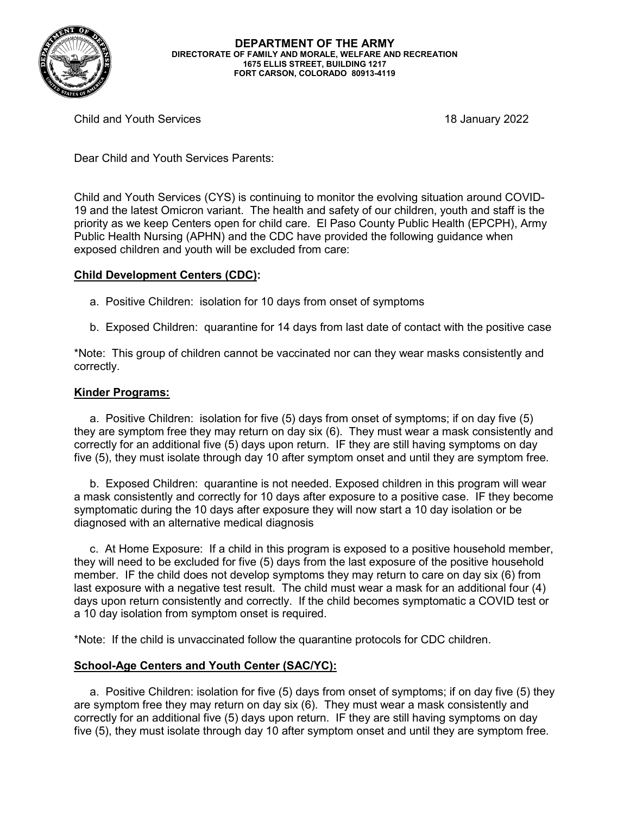

Child and Youth Services 18 January 2022

Dear Child and Youth Services Parents:

Child and Youth Services (CYS) is continuing to monitor the evolving situation around COVID-19 and the latest Omicron variant. The health and safety of our children, youth and staff is the priority as we keep Centers open for child care. El Paso County Public Health (EPCPH), Army Public Health Nursing (APHN) and the CDC have provided the following guidance when exposed children and youth will be excluded from care:

## **Child Development Centers (CDC):**

- a. Positive Children: isolation for 10 days from onset of symptoms
- b. Exposed Children: quarantine for 14 days from last date of contact with the positive case

\*Note: This group of children cannot be vaccinated nor can they wear masks consistently and correctly.

## **Kinder Programs:**

 a. Positive Children: isolation for five (5) days from onset of symptoms; if on day five (5) they are symptom free they may return on day six (6). They must wear a mask consistently and correctly for an additional five (5) days upon return. IF they are still having symptoms on day five (5), they must isolate through day 10 after symptom onset and until they are symptom free.

 b. Exposed Children: quarantine is not needed. Exposed children in this program will wear a mask consistently and correctly for 10 days after exposure to a positive case. IF they become symptomatic during the 10 days after exposure they will now start a 10 day isolation or be diagnosed with an alternative medical diagnosis

 c. At Home Exposure: If a child in this program is exposed to a positive household member, they will need to be excluded for five (5) days from the last exposure of the positive household member. IF the child does not develop symptoms they may return to care on day six (6) from last exposure with a negative test result. The child must wear a mask for an additional four (4) days upon return consistently and correctly. If the child becomes symptomatic a COVID test or a 10 day isolation from symptom onset is required.

\*Note: If the child is unvaccinated follow the quarantine protocols for CDC children.

## **School-Age Centers and Youth Center (SAC/YC):**

 a. Positive Children: isolation for five (5) days from onset of symptoms; if on day five (5) they are symptom free they may return on day six (6). They must wear a mask consistently and correctly for an additional five (5) days upon return. IF they are still having symptoms on day five (5), they must isolate through day 10 after symptom onset and until they are symptom free.